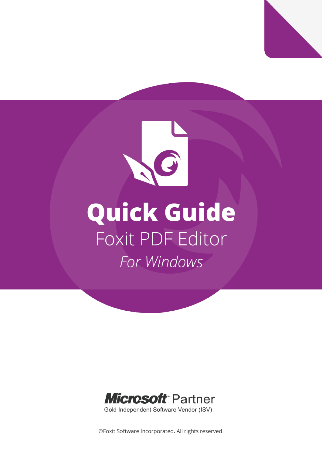



©Foxit Software Incorporated. All rights reserved.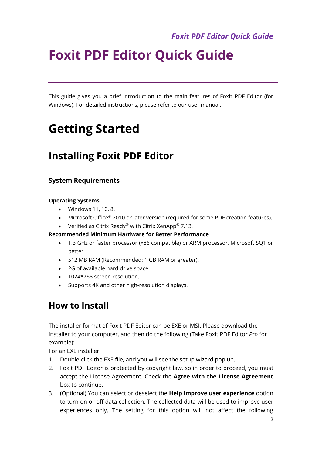This guide gives you a brief introduction to the main features of Foxit PDF Editor (for Windows). For detailed instructions, please refer to our user manual.

# **Getting Started**

## **Installing Foxit PDF Editor**

#### **System Requirements**

#### **Operating Systems**

- Windows 11, 10, 8.
- Microsoft Office<sup>®</sup> 2010 or later version (required for some PDF creation features).
- Verified as Citrix Ready® with Citrix XenApp® 7.13.

#### **Recommended Minimum Hardware for Better Performance**

- 1.3 GHz or faster processor (x86 compatible) or ARM processor, Microsoft SQ1 or better.
- 512 MB RAM (Recommended: 1 GB RAM or greater).
- 2G of available hard drive space.
- 1024\*768 screen resolution.
- Supports 4K and other high-resolution displays.

### **How to Install**

The installer format of Foxit PDF Editor can be EXE or MSI. Please download the installer to your computer, and then do the following (Take Foxit PDF Editor *Pro* for example):

For an EXE installer:

- 1. Double-click the EXE file, and you will see the setup wizard pop up.
- 2. Foxit PDF Editor is protected by copyright law, so in order to proceed, you must accept the License Agreement. Check the **Agree with the License Agreement** box to continue.
- 3. (Optional) You can select or deselect the **Help improve user experience** option to turn on or off data collection. The collected data will be used to improve user experiences only. The setting for this option will not affect the following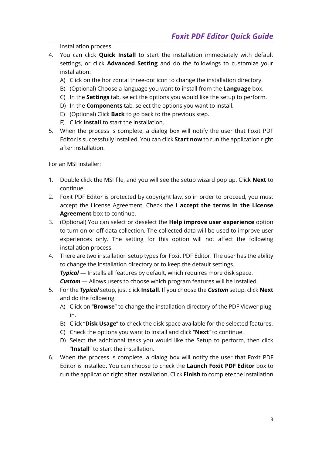installation process.

- 4. You can click **Quick Install** to start the installation immediately with default settings, or click **Advanced Setting** and do the followings to customize your installation:
	- A) Click on the horizontal three-dot icon to change the installation directory.
	- B) (Optional) Choose a language you want to install from the **Language** box.
	- C) In the **Settings** tab, select the options you would like the setup to perform.
	- D) In the **Components** tab, select the options you want to install.
	- E) (Optional) Click **Back** to go back to the previous step.
	- F) Click **Install** to start the installation.
- 5. When the process is complete, a dialog box will notify the user that Foxit PDF Editor is successfully installed. You can click **Start now** to run the application right after installation.

For an MSI installer:

- 1. Double click the MSI file, and you will see the setup wizard pop up. Click **Next** to continue.
- 2. Foxit PDF Editor is protected by copyright law, so in order to proceed, you must accept the License Agreement. Check the **I accept the terms in the License Agreement** box to continue.
- 3. (Optional) You can select or deselect the **Help improve user experience** option to turn on or off data collection. The collected data will be used to improve user experiences only. The setting for this option will not affect the following installation process.
- 4. There are two installation setup types for Foxit PDF Editor. The user has the ability to change the installation directory or to keep the default settings. **Typical** — Installs all features by default, which requires more disk space. **Custom** – Allows users to choose which program features will be installed.
- 5. For the *Typical* setup, just click **Install**. If you choose the *Custom* setup, click **Next** and do the following:
	- A) Click on "**Browse**" to change the installation directory of the PDF Viewer plugin.
	- B) Click "**Disk Usage**" to check the disk space available for the selected features.
	- C) Check the options you want to install and click "**Next**" to continue.
	- D) Select the additional tasks you would like the Setup to perform, then click "**Install**" to start the installation.
- 6. When the process is complete, a dialog box will notify the user that Foxit PDF Editor is installed. You can choose to check the **Launch Foxit PDF Editor** box to run the application right after installation. Click **Finish** to complete the installation.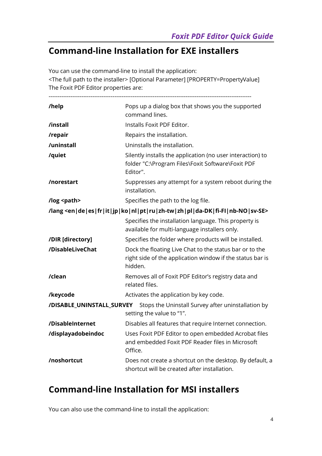## **Command-line Installation for EXE installers**

You can use the command-line to install the application: <The full path to the installer> [Optional Parameter] [PROPERTY=PropertyValue] The Foxit PDF Editor properties are:

---------------------------------------------------------------------------------------------------------------

| /help                     | Pops up a dialog box that shows you the supported<br>command lines.                                                                           |
|---------------------------|-----------------------------------------------------------------------------------------------------------------------------------------------|
| /install                  | Installs Foxit PDF Editor.                                                                                                                    |
| /repair                   | Repairs the installation.                                                                                                                     |
| /uninstall                | Uninstalls the installation.                                                                                                                  |
| /quiet                    | Silently installs the application (no user interaction) to<br>folder "C:\Program Files\Foxit Software\Foxit PDF<br>Editor".                   |
| /norestart                | Suppresses any attempt for a system reboot during the<br>installation.                                                                        |
| /log <path></path>        | Specifies the path to the log file.                                                                                                           |
|                           | /lang <en de es fr it jp ko nl pt ru zh-tw zh pl da-dk fi-fi nb-no sv-se></en de es fr it jp ko nl pt ru zh-tw zh pl da-dk fi-fi nb-no sv-se> |
|                           | Specifies the installation language. This property is<br>available for multi-language installers only.                                        |
| /DIR [directory]          | Specifies the folder where products will be installed.                                                                                        |
| /DisableLiveChat          | Dock the floating Live Chat to the status bar or to the<br>right side of the application window if the status bar is<br>hidden.               |
| /clean                    | Removes all of Foxit PDF Editor's registry data and<br>related files.                                                                         |
| /keycode                  | Activates the application by key code.                                                                                                        |
| /DISABLE_UNINSTALL_SURVEY | Stops the Uninstall Survey after uninstallation by<br>setting the value to "1".                                                               |
| /DisableInternet          | Disables all features that require Internet connection.                                                                                       |
| /displayadobeindoc        | Uses Foxit PDF Editor to open embedded Acrobat files<br>and embedded Foxit PDF Reader files in Microsoft<br>Office.                           |
| /noshortcut               | Does not create a shortcut on the desktop. By default, a<br>shortcut will be created after installation.                                      |

## **Command-line Installation for MSI installers**

You can also use the command-line to install the application: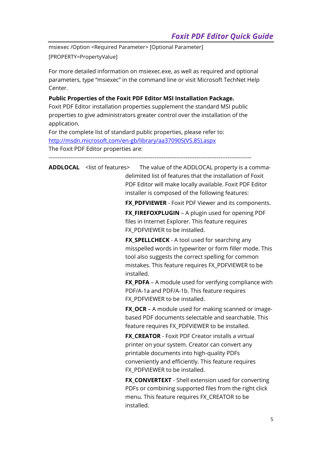msiexec /Option <Required Parameter> [Optional Parameter]

[PROPERTY=PropertyValue]

For more detailed information on msiexec.exe, as well as required and optional parameters, type "msiexec" in the command line or visit Microsoft TechNet Help Center.

#### **Public Properties of the Foxit PDF Editor MSI Installation Package.**

Foxit PDF Editor installation properties supplement the standard MSI public properties to give administrators greater control over the installation of the application.

For the complete list of standard public properties, please refer to: [http://msdn.microsoft.com/en-gb/library/aa370905\(VS.85\).aspx](http://msdn.microsoft.com/en-gb/library/aa370905(VS.85).aspx) The Foxit PDF Editor properties are:

---------------------------------------------------------------------------------------------------------------

**ADDLOCAL** <list of features> The value of the ADDLOCAL property is a commadelimited list of features that the installation of Foxit PDF Editor will make locally available. Foxit PDF Editor installer is composed of the following features:

**FX\_PDFVIEWER** - Foxit PDF Viewer and its components.

**FX\_FIREFOXPLUGIN** – A plugin used for opening PDF files in Internet Explorer. This feature requires FX\_PDFVIEWER to be installed.

**FX\_SPELLCHECK** - A tool used for searching any misspelled words in typewriter or form filler mode. This tool also suggests the correct spelling for common mistakes. This feature requires FX\_PDFVIEWER to be installed.

**FX\_PDFA** – A module used for verifying compliance with PDF/A-1a and PDF/A-1b. This feature requires FX PDFVIEWER to be installed.

**FX OCR** – A module used for making scanned or imagebased PDF documents selectable and searchable. This feature requires FX\_PDFVIEWER to be installed.

**FX\_CREATOR** - Foxit PDF Creator installs a virtual printer on your system. Creator can convert any printable documents into high-quality PDFs conveniently and efficiently. This feature requires FX\_PDFVIEWER to be installed.

**FX\_CONVERTEXT** - Shell extension used for converting PDFs or combining supported files from the right click menu. This feature requires FX\_CREATOR to be installed.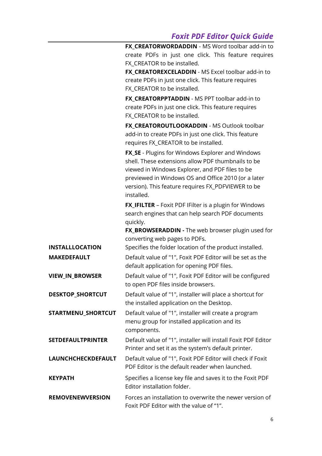**FX\_CREATORWORDADDIN** - MS Word toolbar add-in to create PDFs in just one click. This feature requires FX CREATOR to be installed.

**FX\_CREATOREXCELADDIN** - MS Excel toolbar add-in to create PDFs in just one click. This feature requires FX CREATOR to be installed.

**FX\_CREATORPPTADDIN** - MS PPT toolbar add-in to create PDFs in just one click. This feature requires FX CREATOR to be installed.

**FX\_CREATOROUTLOOKADDIN** - MS Outlook toolbar add-in to create PDFs in just one click. This feature requires FX\_CREATOR to be installed.

**FX\_SE** - Plugins for Windows Explorer and Windows shell. These extensions allow PDF thumbnails to be viewed in Windows Explorer, and PDF files to be previewed in Windows OS and Office 2010 (or a later version). This feature requires FX\_PDFVIEWER to be installed.

**FX IFILTER** – Foxit PDF IFilter is a plugin for Windows search engines that can help search PDF documents quickly.

**FX\_BROWSERADDIN -** The web browser plugin used for converting web pages to PDFs.

**INSTALLLOCATION** Specifies the folder location of the product installed.

| <b>MAKEDEFAULT</b> | Default value of "1", Foxit PDF Editor will be set as the |
|--------------------|-----------------------------------------------------------|
|                    | default application for opening PDF files.                |

**VIEW IN BROWSER** Default value of "1", Foxit PDF Editor will be configured to open PDF files inside browsers.

**DESKTOP SHORTCUT** Default value of "1", installer will place a shortcut for the installed application on the Desktop.

**STARTMENU SHORTCUT** Default value of "1", installer will create a program menu group for installed application and its components.

**SETDEFAULTPRINTER** Default value of "1", installer will install Foxit PDF Editor Printer and set it as the system's default printer.

**LAUNCHCHECKDEFAULT** Default value of "1", Foxit PDF Editor will check if Foxit PDF Editor is the default reader when launched.

**KEYPATH** Specifies a license key file and saves it to the Foxit PDF Editor installation folder.

**REMOVENEWVERSION** Forces an installation to overwrite the newer version of Foxit PDF Editor with the value of "1".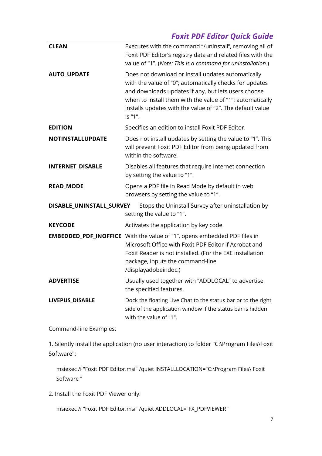| <b>CLEAN</b>             | Executes with the command "/uninstall", removing all of<br>Foxit PDF Editor's registry data and related files with the<br>value of "1". (Note: This is a command for uninstallation.)                                                                                                                     |
|--------------------------|-----------------------------------------------------------------------------------------------------------------------------------------------------------------------------------------------------------------------------------------------------------------------------------------------------------|
| <b>AUTO_UPDATE</b>       | Does not download or install updates automatically<br>with the value of "0"; automatically checks for updates<br>and downloads updates if any, but lets users choose<br>when to install them with the value of "1"; automatically<br>installs updates with the value of "2". The default value<br>is "1". |
| <b>EDITION</b>           | Specifies an edition to install Foxit PDF Editor.                                                                                                                                                                                                                                                         |
| <b>NOTINSTALLUPDATE</b>  | Does not install updates by setting the value to "1". This<br>will prevent Foxit PDF Editor from being updated from<br>within the software.                                                                                                                                                               |
| INTERNET_DISABLE         | Disables all features that require Internet connection<br>by setting the value to "1".                                                                                                                                                                                                                    |
| <b>READ_MODE</b>         | Opens a PDF file in Read Mode by default in web<br>browsers by setting the value to "1".                                                                                                                                                                                                                  |
| DISABLE_UNINSTALL_SURVEY | Stops the Uninstall Survey after uninstallation by<br>setting the value to "1".                                                                                                                                                                                                                           |
| <b>KEYCODE</b>           | Activates the application by key code.                                                                                                                                                                                                                                                                    |
|                          | <b>EMBEDDED_PDF_INOFFICE</b> With the value of "1", opens embedded PDF files in<br>Microsoft Office with Foxit PDF Editor if Acrobat and<br>Foxit Reader is not installed. (For the EXE installation<br>package, inputs the command-line<br>/displayadobeindoc.)                                          |
| <b>ADVERTISE</b>         | Usually used together with "ADDLOCAL" to advertise<br>the specified features.                                                                                                                                                                                                                             |
| LIVEPUS_DISABLE          | Dock the floating Live Chat to the status bar or to the right<br>side of the application window if the status bar is hidden<br>with the value of "1".                                                                                                                                                     |

Command-line Examples:

1. Silently install the application (no user interaction) to folder "C:\Program Files\Foxit Software":

msiexec /i "Foxit PDF Editor.msi" /quiet INSTALLLOCATION="C:\Program Files\ Foxit Software "

2. Install the Foxit PDF Viewer only:

msiexec /i "Foxit PDF Editor.msi" /quiet ADDLOCAL="FX\_PDFVIEWER "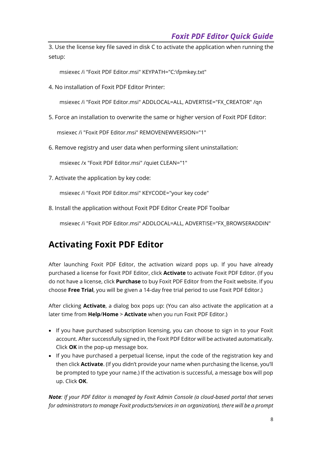3. Use the license key file saved in disk C to activate the application when running the setup:

msiexec /i "Foxit PDF Editor.msi" KEYPATH="C:\fpmkey.txt"

4. No installation of Foxit PDF Editor Printer:

msiexec /i "Foxit PDF Editor.msi" ADDLOCAL=ALL, ADVERTISE="FX\_CREATOR" /qn

5. Force an installation to overwrite the same or higher version of Foxit PDF Editor:

msiexec /i "Foxit PDF Editor.msi" REMOVENEWVERSION="1"

6. Remove registry and user data when performing silent uninstallation:

msiexec /x "Foxit PDF Editor.msi" /quiet CLEAN="1"

7. Activate the application by key code:

msiexec /i "Foxit PDF Editor.msi" KEYCODE="your key code"

8. Install the application without Foxit PDF Editor Create PDF Toolbar

msiexec /i "Foxit PDF Editor.msi" ADDLOCAL=ALL, ADVERTISE="FX\_BROWSERADDIN"

## **Activating Foxit PDF Editor**

After launching Foxit PDF Editor, the activation wizard pops up. If you have already purchased a license for Foxit PDF Editor, click **Activate** to activate Foxit PDF Editor. (If you do not have a license, click **Purchase** to buy Foxit PDF Editor from the Foxit website. If you choose **Free Trial**, you will be given a 14-day free trial period to use Foxit PDF Editor.)

After clicking **Activate**, a dialog box pops up: (You can also activate the application at a later time from **Help**/**Home** > **Activate** when you run Foxit PDF Editor.)

- If you have purchased subscription licensing, you can choose to sign in to your Foxit account. After successfully signed in, the Foxit PDF Editor will be activated automatically. Click **OK** in the pop-up message box.
- If you have purchased a perpetual license, input the code of the registration key and then click **Activate**. (If you didn't provide your name when purchasing the license, you'll be prompted to type your name.) If the activation is successful, a message box will pop up. Click **OK**.

*Note: If your PDF Editor is managed by Foxit Admin Console (a cloud-based portal that serves for administrators to manage Foxit products/services in an organization), there will be a prompt*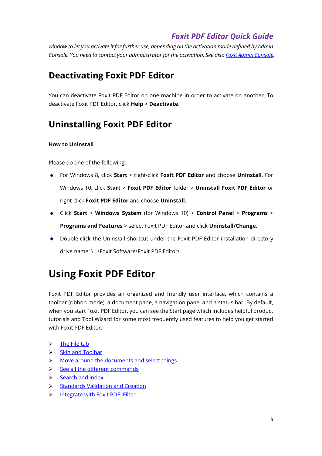*window to let you activate it for further use, depending on the activation mode defined by Admin Console. You need to contact your administrator for the activation. See als[o Foxit Admin Console.](#page-38-0)*

## **Deactivating Foxit PDF Editor**

You can deactivate Foxit PDF Editor on one machine in order to activate on another. To deactivate Foxit PDF Editor, click **Help** > **Deactivate**.

## **Uninstalling Foxit PDF Editor**

#### **How to Uninstall**

Please do one of the following:

- For Windows 8, click **Start** > right-click **Foxit PDF Editor** and choose **Uninstall**. For Windows 10, click **Start** > **Foxit PDF Editor** folder > **Uninstall Foxit PDF Editor** or right-click **Foxit PDF Editor** and choose **Uninstall**.
- Click **Start** > **Windows System** (for Windows 10) > **Control Panel** > **Programs** > **Programs and Features** > select Foxit PDF Editor and click **Uninstall/Change**.
- Double-click the Uninstall shortcut under the Foxit PDF Editor installation directory drive name: \...\Foxit Software\Foxit PDF Editor\.

# **Using Foxit PDF Editor**

Foxit PDF Editor provides an organized and friendly user interface, which contains a toolbar (ribbon mode), a document pane, a navigation pane, and a status bar. By default, when you start Foxit PDF Editor, you can see the Start page which includes helpful product tutorials and Tool Wizard for some most frequently used features to help you get started with Foxit PDF Editor.

- $\triangleright$  [The File tab](#page-9-0)
- ➢ Skin [and Toolbar](#page-9-1)
- ➢ [Move around the documents and select things](#page-10-0)
- ➢ [See all the different commands](#page-10-1)
- ➢ [Search and index](#page-11-0)
- ➢ [Standards Validation and Creation](#page-11-1)
- ➢ Integrate [with Foxit PDF IFilter](#page-12-0)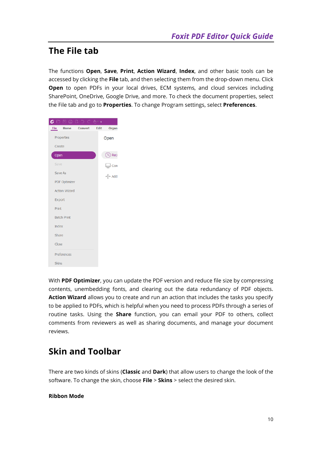## <span id="page-9-0"></span>**The File tab**

The functions **Open**, **Save**, **Print**, **Action Wizard**, **Index**, and other basic tools can be accessed by clicking the **File** tab, and then selecting them from the drop-down menu. Click **Open** to open PDFs in your local drives, ECM systems, and cloud services including SharePoint, OneDrive, Google Drive, and more. To check the document properties, select the File tab and go to **Properties**. To change Program settings, select **Preferences**.



With **PDF Optimizer**, you can update the PDF version and reduce file size by compressing contents, unembedding fonts, and clearing out the data redundancy of PDF objects. **Action Wizard** allows you to create and run an action that includes the tasks you specify to be applied to PDFs, which is helpful when you need to process PDFs through a series of routine tasks. Using the **Share** function, you can email your PDF to others, collect comments from reviewers as well as sharing documents, and manage your document reviews.

## <span id="page-9-1"></span>**Skin and Toolbar**

There are two kinds of skins (**Classic** and **Dark**) that allow users to change the look of the software. To change the skin, choose **File** > **Skins** > select the desired skin.

#### **Ribbon Mode**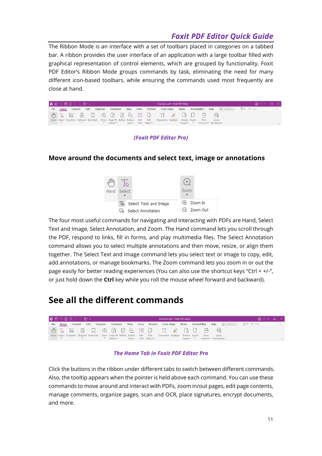The Ribbon Mode is an interface with a set of toolbars placed in categories on a tabbed bar. A ribbon provides the user interface of an application with a large toolbar filled with graphical representation of control elements, which are grouped by functionality. Foxit PDF Editor's Ribbon Mode groups commands by task, eliminating the need for many different icon-based toolbars, while ensuring the commands used most frequently are close at hand.

|             |                  | $G \cap \Box \Box \Box \cup \Box \subset \delta$ |   |                                                                                     |          |          |             |      |                  | Overview.pdf - Foxit PDF Editor    |                    |               |      |                             |                    |                | $\bigcirc$ $\cdot$ $\bigcirc$ $\bigcirc$ $\times$ $\bigcirc$ |        |
|-------------|------------------|--------------------------------------------------|---|-------------------------------------------------------------------------------------|----------|----------|-------------|------|------------------|------------------------------------|--------------------|---------------|------|-----------------------------|--------------------|----------------|--------------------------------------------------------------|--------|
| <b>File</b> | Home             | <b>Convert</b>                                   |   | Edit                                                                                | Organize | Comment  | <b>View</b> | Form | Protect          | <b>Foxit eSign</b>                 | Share              | Accessibility |      | Help                        | $\bigcirc$ Tell me | $\overline{2}$ | $Q$ Find                                                     |        |
|             | $\sqrt{u^2 + 4}$ | $\approx$                                        | 圓 |                                                                                     |          |          |             |      |                  |                                    |                    |               |      | $\frac{1}{2}$ $\frac{1}{2}$ |                    |                |                                                              |        |
|             |                  |                                                  |   | Hand Select SnapShot Clipboard Bookmark   Zoom Page Fit Reflow Rotate   Edit   Edit |          |          |             |      |                  | Typewriter Highlight Rotate Insert |                    |               | From | Ouick                       |                    |                |                                                              |        |
|             |                  |                                                  |   |                                                                                     |          | Option * |             |      | View Text Object |                                    | Pages <sup>*</sup> |               |      | Scanner * Recognition       |                    |                |                                                              | $\sim$ |

#### *(Foxit PDF Editor Pro)*

#### <span id="page-10-0"></span>**Move around the documents and select text, image or annotations**



The four most useful commands for navigating and interacting with PDFs are Hand, Select Text and Image, Select Annotation, and Zoom. The Hand command lets you scroll through the PDF, respond to links, fill in forms, and play multimedia files. The Select Annotation command allows you to select multiple annotations and then move, resize, or align them together. The Select Text and Image command lets you select text or image to copy, edit, add annotations, or manage bookmarks. The Zoom command lets you zoom in or out the page easily for better reading experiences (You can also use the shortcut keys "Ctrl + +/-", or just hold down the **Ctrl** key while you roll the mouse wheel forward and backward).

#### <span id="page-10-1"></span>**See all the different commands**



#### *The Home Tab in Foxit PDF Editor Pro*

Click the buttons in the ribbon under different tabs to switch between different commands. Also, the tooltip appears when the pointer is held above each command. You can use these commands to move around and interact with PDFs, zoom in/out pages, edit page contents, manage comments, organize pages, scan and OCR, place signatures, encrypt documents, and more.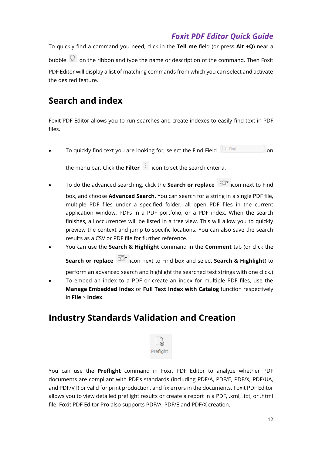To quickly find a command you need, click in the **Tell me** field (or press **Alt** +**Q**) near a bubble  $\mathbb{Q}$  on the ribbon and type the name or description of the command. Then Foxit PDF Editor will display a list of matching commands from which you can select and activate the desired feature.

## <span id="page-11-0"></span>**Search and index**

Foxit PDF Editor allows you to run searches and create indexes to easily find text in PDF files.

To quickly find text you are looking for, select the Find Field  $\overline{Q}$  Find  $\overline{Q}$  on

the menu bar. Click the **Filter** icon to set the search criteria.

- To do the advanced searching, click the **Search or replace**  $\overline{PQ}^*$  icon next to Find
	- box, and choose **Advanced Search**. You can search for a string in a single PDF file, multiple PDF files under a specified folder, all open PDF files in the current application window, PDFs in a PDF portfolio, or a PDF index. When the search finishes, all occurrences will be listed in a tree view. This will allow you to quickly preview the context and jump to specific locations. You can also save the search results as a CSV or PDF file for further reference.
- You can use the **Search & Highlight** command in the **Comment** tab (or click the

**Search or replace**  $\overline{2Q}^*$  icon next to Find box and select **Search & Highlight**) to

perform an advanced search and highlight the searched text strings with one click.) • To embed an index to a PDF or create an index for multiple PDF files, use the **Manage Embedded Index** or **Full Text Index with Catalog** function respectively in **File** > **Index**.

## <span id="page-11-1"></span>**Industry Standards Validation and Creation**



You can use the **Preflight** command in Foxit PDF Editor to analyze whether PDF documents are compliant with PDF's standards (including PDF/A, PDF/E, PDF/X, PDF/UA, and PDF/VT) or valid for print production, and fix errors in the documents. Foxit PDF Editor allows you to view detailed preflight results or create a report in a PDF, .xml, .txt, or .html file. Foxit PDF Editor Pro also supports PDF/A, PDF/E and PDF/X creation.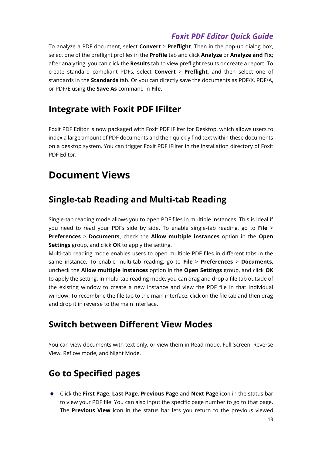To analyze a PDF document, select **Convert** > **Preflight**. Then in the pop-up dialog box, select one of the preflight profiles in the **Profile** tab and click **Analyze** or **Analyze and Fix**; after analyzing, you can click the **Results** tab to view preflight results or create a report. To create standard compliant PDFs, select **Convert** > **Preflight**, and then select one of standards in the **Standards** tab. Or you can directly save the documents as PDF/X, PDF/A, or PDF/E using the **Save As** command in **File**.

### <span id="page-12-0"></span>**Integrate with Foxit PDF IFilter**

Foxit PDF Editor is now packaged with Foxit PDF IFilter for Desktop, which allows users to index a large amount of PDF documents and then quickly find text within these documents on a desktop system. You can trigger Foxit PDF IFilter in the installation directory of Foxit PDF Editor.

## **Document Views**

## **Single-tab Reading and Multi-tab Reading**

Single-tab reading mode allows you to open PDF files in multiple instances. This is ideal if you need to read your PDFs side by side. To enable single-tab reading, go to **File** > **Preferences** > **Documents,** check the **Allow multiple instances** option in the **Open Settings** group, and click **OK** to apply the setting.

Multi-tab reading mode enables users to open multiple PDF files in different tabs in the same instance. To enable multi-tab reading, go to **File** > **Preferences** > **Documents**, uncheck the **Allow multiple instances** option in the **Open Settings** group, and click **OK**  to apply the setting. In multi-tab reading mode, you can drag and drop a file tab outside of the existing window to create a new instance and view the PDF file in that individual window. To recombine the file tab to the main interface, click on the file tab and then drag and drop it in reverse to the main interface.

## **Switch between Different View Modes**

You can view documents with text only, or view them in Read mode, Full Screen, Reverse View, Reflow mode, and Night Mode.

## **Go to Specified pages**

Click the **First Page**, **Last Page**, **Previous Page** and **Next Page** icon in the status bar to view your PDF file. You can also input the specific page number to go to that page. The **Previous View** icon in the status bar lets you return to the previous viewed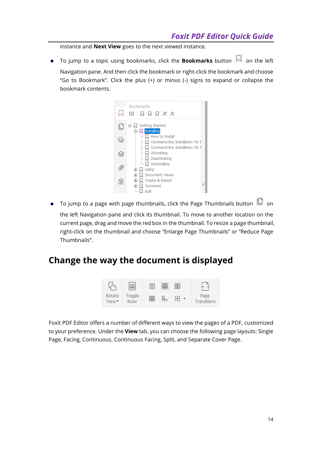instance and **Next View** goes to the next viewed instance.

To jump to a topic using bookmarks, click the **Bookmarks** button  $\vert \hspace{-0.04cm} \vert \hspace{-0.04cm} \vert \hspace{-0.04cm} \vert$  on the left Navigation pane. And then click the bookmark or right-click the bookmark and choose "Go to Bookmark". Click the plus (+) or minus (-) signs to expand or collapse the bookmark contents.



 $\bullet$  To jump to a page with page thumbnails, click the Page Thumbnails button  $\Box$  on the left Navigation pane and click its thumbnail. To move to another location on the current page, drag and move the red box in the thumbnail. To resize a page thumbnail, right-click on the thumbnail and choose "Enlarge Page Thumbnails" or "Reduce Page Thumbnails".

### **Change the way the document is displayed**



Foxit PDF Editor offers a number of different ways to view the pages of a PDF, customized to your preference. Under the **View** tab, you can choose the following page layouts: Single Page, Facing, Continuous, Continuous Facing, Split, and Separate Cover Page.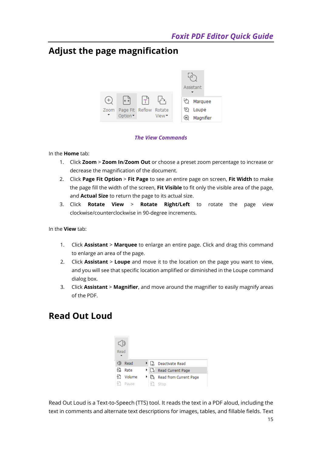## **Adjust the page magnification**



#### *The View Commands*

#### In the **Home** tab:

- 1. Click **Zoom** > **Zoom In**/**Zoom Out** or choose a preset zoom percentage to increase or decrease the magnification of the document.
- 2. Click **Page Fit Option** > **Fit Page** to see an entire page on screen, **Fit Width** to make the page fill the width of the screen, **Fit Visible** to fit only the visible area of the page, and **Actual Size** to return the page to its actual size.
- 3. Click **Rotate View** > **Rotate Right/Left** to rotate the page view clockwise/counterclockwise in 90-degree increments.

In the **View** tab:

- 1. Click **Assistant** > **Marquee** to enlarge an entire page. Click and drag this command to enlarge an area of the page.
- 2. Click **Assistant** > **Loupe** and move it to the location on the page you want to view, and you will see that specific location amplified or diminished in the Loupe command dialog box.
- 3. Click **Assistant** > **Magnifier**, and move around the magnifier to easily magnify areas of the PDF.

## **Read Out Loud**

| Read         |      |                         |
|--------------|------|-------------------------|
| Read         | בח ⊀ | Deactivate Read         |
| 47<br>Rate   |      | ▶   a Read Current Page |
| Volume<br>47 | ∗ ⊪. | Read from Current Page  |
| ৰ শ<br>Pause | 한 것  | Stop                    |

15 Read Out Loud is a Text-to-Speech (TTS) tool. It reads the text in a PDF aloud, including the text in comments and alternate text descriptions for images, tables, and fillable fields. Text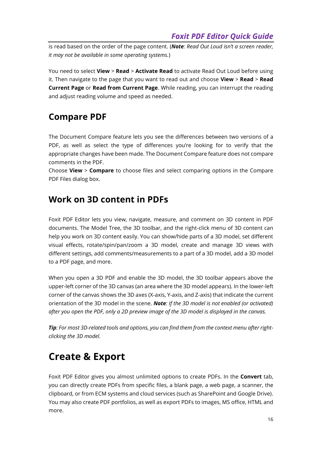is read based on the order of the page content. (*Note: Read Out Loud isn't a screen reader, it may not be available in some operating systems.*)

You need to select **View** > **Read** > **Activate Read** to activate Read Out Loud before using it. Then navigate to the page that you want to read out and choose **View** > **Read** > **Read Current Page** or **Read from Current Page**. While reading, you can interrupt the reading and adjust reading volume and speed as needed.

### **Compare PDF**

The Document Compare feature lets you see the differences between two versions of a PDF, as well as select the type of differences you're looking for to verify that the appropriate changes have been made. The Document Compare feature does not compare comments in the PDF.

Choose **View** > **Compare** to choose files and select comparing options in the Compare PDF Files dialog box.

#### **Work on 3D content in PDFs**

Foxit PDF Editor lets you view, navigate, measure, and comment on 3D content in PDF documents. The Model Tree, the 3D toolbar, and the right-click menu of 3D content can help you work on 3D content easily. You can show/hide parts of a 3D model, set different visual effects, rotate/spin/pan/zoom a 3D model, create and manage 3D views with different settings, add comments/measurements to a part of a 3D model, add a 3D model to a PDF page, and more.

When you open a 3D PDF and enable the 3D model, the 3D toolbar appears above the upper-left corner of the 3D canvas (an area where the 3D model appears). In the lower-left corner of the canvas shows the 3D axes (X-axis, Y-axis, and Z-axis) that indicate the current orientation of the 3D model in the scene. *Note: If the 3D model is not enabled (or activated) after you open the PDF, only a 2D preview image of the 3D model is displayed in the canvas.*

*Tip: For most 3D-related tools and options, you can find them from the context menu after rightclicking the 3D model.*

## **Create & Export**

Foxit PDF Editor gives you almost unlimited options to create PDFs. In the **Convert** tab, you can directly create PDFs from specific files, a blank page, a web page, a scanner, the clipboard, or from ECM systems and cloud services (such as SharePoint and Google Drive). You may also create PDF portfolios, as well as export PDFs to images, MS office, HTML and more.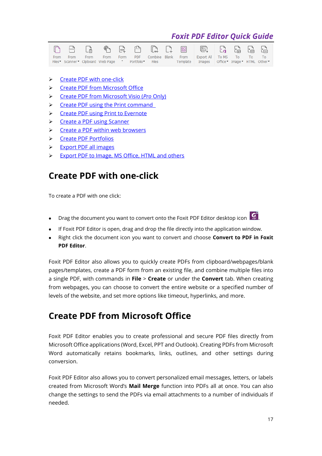|  |  |  |  | From From From From Form PDF Combine—Blank From Export_All To_MS To To To To .             |  |  |  |
|--|--|--|--|--------------------------------------------------------------------------------------------|--|--|--|
|  |  |  |  | Files Scanner Clipboard Web Page T Portfolio Files Template Images Office Image HTML Other |  |  |  |

- ➢ [Create PDF with one-click](#page-16-0)
- ➢ [Create PDF from Microsoft Office](#page-16-1)
- ➢ [Create PDF from Microsoft Visio \(](#page-17-0)*Pro* Only)
- ➢ [Create PDF using the Print command](#page-17-1)
- ➢ Create [PDF using Print to Evernote](#page-17-2)
- ➢ [Create a PDF using Scanner](#page-17-3)
- ➢ [Create a PDF within web browsers](#page-18-0)
- ➢ [Create PDF Portfolios](#page-18-1)
- ➢ [Export PDF all images](#page-18-2)
- <span id="page-16-0"></span>➢ [Export PDF to Image, MS Office, HTML and others](#page-18-3)

#### **Create PDF with one-click**

To create a PDF with one click:

- **•** Drag the document you want to convert onto the Foxit PDF Editor desktop icon  $\boxed{C}$
- 
- ⚫ If Foxit PDF Editor is open, drag and drop the file directly into the application window.
- ⚫ Right click the document icon you want to convert and choose **Convert to PDF in Foxit PDF Editor**.

Foxit PDF Editor also allows you to quickly create PDFs from clipboard/webpages/blank pages/templates, create a PDF form from an existing file, and combine multiple files into a single PDF, with commands in **File** > **Create** or under the **Convert** tab. When creating from webpages, you can choose to convert the entire website or a specified number of levels of the website, and set more options like timeout, hyperlinks, and more.

### <span id="page-16-1"></span>**Create PDF from Microsoft Office**

Foxit PDF Editor enables you to create professional and secure PDF files directly from Microsoft Office applications (Word, Excel, PPT and Outlook). Creating PDFs from Microsoft Word automatically retains bookmarks, links, outlines, and other settings during conversion.

Foxit PDF Editor also allows you to convert personalized email messages, letters, or labels created from Microsoft Word's **Mail Merge** function into PDFs all at once. You can also change the settings to send the PDFs via email attachments to a number of individuals if needed.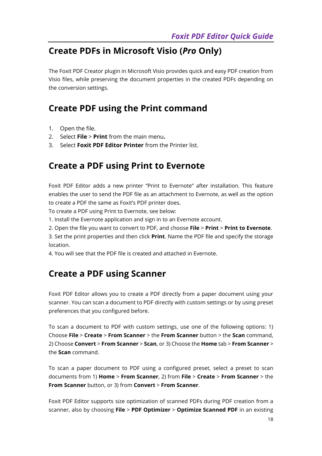## <span id="page-17-0"></span>**Create PDFs in Microsoft Visio (***Pro* **Only)**

The Foxit PDF Creator plugin in Microsoft Visio provides quick and easy PDF creation from Visio files, while preserving the document properties in the created PDFs depending on the conversion settings.

### <span id="page-17-1"></span>**Create PDF using the Print command**

- 1. Open the file.
- 2. Select **File** > **Print** from the main menu**.**
- <span id="page-17-2"></span>3. Select **Foxit PDF Editor Printer** from the Printer list.

### **Create a PDF using Print to Evernote**

Foxit PDF Editor adds a new printer "Print to Evernote" after installation. This feature enables the user to send the PDF file as an attachment to Evernote, as well as the option to create a PDF the same as Foxit's PDF printer does.

To create a PDF using Print to Evernote, see below:

- 1. Install the Evernote application and sign in to an Evernote account.
- 2. Open the file you want to convert to PDF, and choose **File** > **Print** > **Print to Evernote**.

3. Set the print properties and then click **Print**. Name the PDF file and specify the storage location.

<span id="page-17-3"></span>4. You will see that the PDF file is created and attached in Evernote.

### **Create a PDF using Scanner**

Foxit PDF Editor allows you to create a PDF directly from a paper document using your scanner. You can scan a document to PDF directly with custom settings or by using preset preferences that you configured before.

To scan a document to PDF with custom settings, use one of the following options: 1) Choose **File** > **Create** > **From Scanner** > the **From Scanner** button > the **Scan** command, 2) Choose **Convert** > **From Scanner** > **Scan**, or 3) Choose the **Home** tab > **From Scanner** > the **Scan** command.

To scan a paper document to PDF using a configured preset, select a preset to scan documents from 1) **Home** > **From Scanner**, 2) from **File** > **Create** > **From Scanner** > the **From Scanner** button, or 3) from **Convert** > **From Scanner**.

Foxit PDF Editor supports size optimization of scanned PDFs during PDF creation from a scanner, also by choosing **File** > **PDF Optimizer** > **Optimize Scanned PDF** in an existing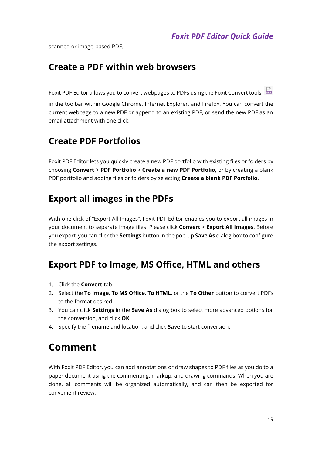<span id="page-18-0"></span>scanned or image-based PDF.

#### **Create a PDF within web browsers**

Foxit PDF Editor allows you to convert webpages to PDFs using the Foxit Convert tools

in the toolbar within Google Chrome, Internet Explorer, and Firefox. You can convert the current webpage to a new PDF or append to an existing PDF, or send the new PDF as an email attachment with one click.

## <span id="page-18-1"></span>**Create PDF Portfolios**

Foxit PDF Editor lets you quickly create a new PDF portfolio with existing files or folders by choosing **Convert** > **PDF Portfolio** > **Create a new PDF Portfolio,** or by creating a blank PDF portfolio and adding files or folders by selecting **Create a blank PDF Portfolio**.

## <span id="page-18-2"></span>**Export all images in the PDFs**

With one click of "Export All Images", Foxit PDF Editor enables you to export all images in your document to separate image files. Please click **Convert** > **Export All Images**. Before you export, you can click the **Settings** button in the pop-up **Save As** dialog box to configure the export settings.

## <span id="page-18-3"></span>**Export PDF to Image, MS Office, HTML and others**

- 1. Click the **Convert** tab.
- 2. Select the **To Image**, **To MS Office**, **To HTML**, or the **To Other** button to convert PDFs to the format desired.
- 3. You can click **Settings** in the **Save As** dialog box to select more advanced options for the conversion, and click **OK**.
- 4. Specify the filename and location, and click **Save** to start conversion.

## <span id="page-18-4"></span>**Comment**

With Foxit PDF Editor, you can add annotations or draw shapes to PDF files as you do to a paper document using the commenting, markup, and drawing commands. When you are done, all comments will be organized automatically, and can then be exported for convenient review.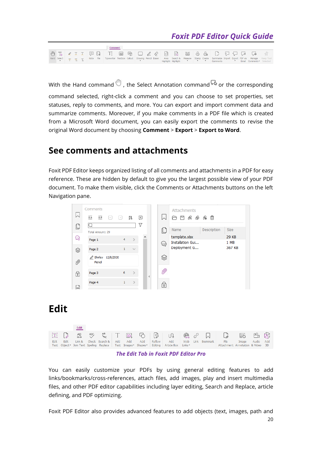|  |  |  | Comment |  |  |  |  |  |  |  |                                                                                                                                                                                                                                              |
|--|--|--|---------|--|--|--|--|--|--|--|----------------------------------------------------------------------------------------------------------------------------------------------------------------------------------------------------------------------------------------------|
|  |  |  |         |  |  |  |  |  |  |  |                                                                                                                                                                                                                                              |
|  |  |  |         |  |  |  |  |  |  |  | Hand Select = = + T Note File Typewriter Textbox Callout Drawing Pencil Eraser Area Search & Measure Stamp Create Summarize Import Export FDF via Manage Keep Tool<br>Highlight Highlight   * * *   Comments   * * Email Comments * Selected |

With the Hand command  $\mathbb O$ , the Select Annotation command  $\mathbb G$  or the corresponding command selected, right-click a comment and you can choose to set properties, set statuses, reply to comments, and more. You can export and import comment data and summarize comments. Moreover, if you make comments in a PDF file which is created from a Microsoft Word document, you can easily export the comments to revise the original Word document by choosing **Comment** > **Export** > **Export to Word**.

#### **See comments and attachments**

Foxit PDF Editor keeps organized listing of all comments and attachments in a PDF for easy reference. These are hidden by default to give you the largest possible view of your PDF document. To make them visible, click the Comments or Attachments buttons on the left Navigation pane.



## **Edit**





You can easily customize your PDFs by using general editing features to add links/bookmarks/cross-references, attach files, add images, play and insert multimedia files, and other PDF editor capabilities including layer editing, Search and Replace, article defining, and PDF optimizing.

20 Foxit PDF Editor also provides advanced features to add objects (text, images, path and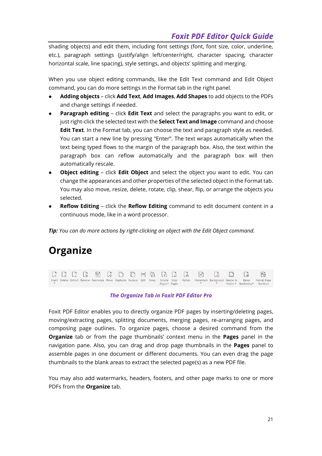shading objects) and edit them, including font settings (font, font size, color, underline, etc.), paragraph settings (justify/align left/center/right, character spacing, character horizontal scale, line spacing), style settings, and objects' splitting and merging.

When you use object editing commands, like the Edit Text command and Edit Object command, you can do more settings in the Format tab in the right panel.

- ⚫ **Adding objects** click **Add Text**, **Add Images**, **Add Shapes** to add objects to the PDFs and change settings if needed.
- **Paragraph editing** click **Edit Text** and select the paragraphs you want to edit, or just right-click the selected text with the **Select Text and Image** command and choose **Edit Text**. In the Format tab, you can choose the text and paragraph style as needed. You can start a new line by pressing "Enter". The text wraps automatically when the text being typed flows to the margin of the paragraph box. Also, the text within the paragraph box can reflow automatically and the paragraph box will then automatically rescale.
- ⚫ **Object editing** click **Edit Object** and select the object you want to edit. You can change the appearances and other properties of the selected object in the Format tab. You may also move, resize, delete, rotate, clip, shear, flip, or arrange the objects you selected.
- ⚫ **Reflow Editing** click the **Reflow Editing** command to edit document content in a continuous mode, like in a word processor.

*Tip: You can do more actions by right-clicking an object with the Edit Object command.*

## **Organize**



#### *The Organize Tab in Foxit PDF Editor Pro*

Foxit PDF Editor enables you to directly organize PDF pages by inserting/deleting pages, moving/extracting pages, splitting documents, merging pages, re-arranging pages, and composing page outlines. To organize pages, choose a desired command from the **Organize** tab or from the page thumbnails' context menu in the **Pages** panel in the navigation pane. Also, you can drag and drop page thumbnails in the **Pages** panel to assemble pages in one document or different documents. You can even drag the page thumbnails to the blank areas to extract the selected page(s) as a new PDF file.

You may also add watermarks, headers, footers, and other page marks to one or more PDFs from the **Organize** tab.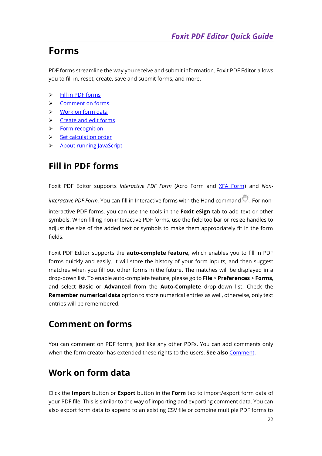## **Forms**

PDF forms streamline the way you receive and submit information. Foxit PDF Editor allows you to fill in, reset, create, save and submit forms, and more.

- ➢ [Fill in PDF forms](#page-21-0)
- ➢ [Comment on forms](#page-21-1)
- ➢ [Work on form data](#page-21-2)
- ➢ [Create and edit forms](#page-22-0)
- ➢ [Form recognition](#page-22-1)
- ➢ [Set calculation order](#page-23-0)
- <span id="page-21-0"></span>➢ [About running](#page-23-1) JavaScript

## **Fill in PDF forms**

Foxit PDF Editor supports *Interactive PDF Form* (Acro Form and [XFA Form\)](http://en.wikipedia.org/wiki/XFA) and *Noninteractive PDF Form.* You can fill in Interactive forms with the Hand command . For noninteractive PDF forms, you can use the tools in the **Foxit eSign** tab to add text or other symbols. When filling non-interactive PDF forms, use the field toolbar or resize handles to adjust the size of the added text or symbols to make them appropriately fit in the form fields.

Foxit PDF Editor supports the **auto-complete feature,** which enables you to fill in PDF forms quickly and easily. It will store the history of your form inputs, and then suggest matches when you fill out other forms in the future. The matches will be displayed in a drop-down list. To enable auto-complete feature, please go to **File** > **Preferences** > **Forms**, and select **Basic** or **Advanced** from the **Auto-Complete** drop-down list. Check the **Remember numerical data** option to store numerical entries as well, otherwise, only text entries will be remembered.

### <span id="page-21-1"></span>**Comment on forms**

You can comment on PDF forms, just like any other PDFs. You can add comments only when the form creator has extended these rights to the users. **See also** [Comment.](#page-18-4)

## <span id="page-21-2"></span>**Work on form data**

Click the **Import** button or **Export** button in the **Form** tab to import/export form data of your PDF file. This is similar to the way of importing and exporting comment data. You can also export form data to append to an existing CSV file or combine multiple PDF forms to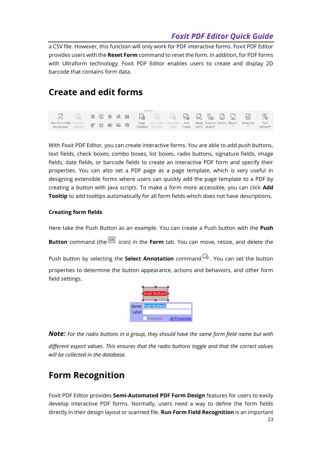a CSV file. However, this function will only work for PDF interactive forms. Foxit PDF Editor provides users with the **Reset Form** command to reset the form. In addition, for PDF forms with Ultraform technology, Foxit PDF Editor enables users to create and display 2D barcode that contains form data.

#### <span id="page-22-0"></span>**Create and edit forms**

|                                                                   | La |  |  |  |                                                                    |                    |  |  | 屆                                        | E.                |
|-------------------------------------------------------------------|----|--|--|--|--------------------------------------------------------------------|--------------------|--|--|------------------------------------------|-------------------|
| Run Form Field Designer 日 目 画 品 曲<br><b>Recognition</b> Assistant |    |  |  |  | <b>Page</b> Edit Static Calculation Add<br>Template XFA Form Order | Tooltip Form sheet |  |  | Reset Form to Import Export   JavaScript | Tool<br>Setting * |

With Foxit PDF Editor, you can create interactive forms. You are able to add push buttons, text fields, check boxes, combo boxes, list boxes, radio buttons, signature fields, image fields, date fields, or barcode fields to create an interactive PDF form and specify their properties. You can also set a PDF page as a page template, which is very useful in designing extensible forms where users can quickly add the page template to a PDF by creating a button with Java scripts. To make a form more accessible, you can click **Add Tooltip** to add tooltips automatically for all form fields which does not have descriptions.

#### <span id="page-22-2"></span>**Creating form fields**

Here take the Push Button as an example. You can create a Push button with the **Push Button** command (the  $\overline{OR}$  icon) in the **Form** tab. You can move, resize, and delete the

Push button by selecting the **Select Annotation** command  $\overline{F}$ . You can set the button properties to determine the button appearance, actions and behaviors, and other form field settings.

> Name: Push Button Label:  $\Box$ Required All Propertie

*Note: For the radio buttons in a group, they should have the same form field name but with different export values. This ensures that the radio buttons toggle and that the correct values will be collected in the database.* 

## <span id="page-22-1"></span>**Form Recognition**

Foxit PDF Editor provides **Semi-Automated PDF Form Design** features for users to easily develop interactive PDF forms. Normally, users need a way to define the form fields directly in their design layout or scanned file. **Run Form Field Recognition** is an important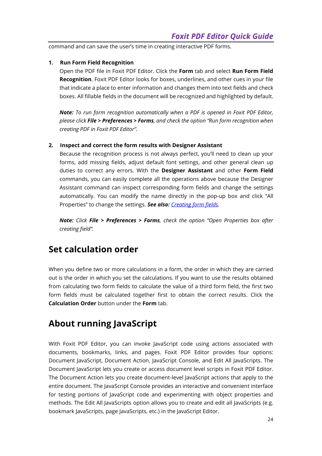command and can save the user's time in creating interactive PDF forms.

#### **1. Run Form Field Recognition**

Open the PDF file in Foxit PDF Editor. Click the **Form** tab and select **Run Form Field Recognition**. Foxit PDF Editor looks for boxes, underlines, and other cues in your file that indicate a place to enter information and changes them into text fields and check boxes. All fillable fields in the document will be recognized and highlighted by default.

*Note: To run form recognition automatically when a PDF is opened in Foxit PDF Editor, please click File > Preferences > Forms, and check the option "Run form recognition when creating PDF in Foxit PDF Editor".*

#### **2. Inspect and correct the form results with Designer Assistant**

Because the recognition process is not always perfect, you'll need to clean up your forms, add missing fields, adjust default font settings, and other general clean up duties to correct any errors. With the **Designer Assistant** and other **Form Field**  commands, you can easily complete all the operations above because the Designer Assistant command can inspect corresponding form fields and change the settings automatically. You can modify the name directly in the pop-up box and click "All Properties" to change the settings. *See also: [Creating form fields.](#page-22-2)*

*Note: Click File > Preferences > Forms, check the option "Open Properties box after creating field".*

### <span id="page-23-0"></span>**Set calculation order**

When you define two or more calculations in a form, the order in which they are carried out is the order in which you set the calculations. If you want to use the results obtained from calculating two form fields to calculate the value of a third form field, the first two form fields must be calculated together first to obtain the correct results. Click the **Calculation Order** button under the **Form** tab.

### <span id="page-23-1"></span>**About running JavaScript**

With Foxit PDF Editor, you can invoke JavaScript code using actions associated with documents, bookmarks, links, and pages. Foxit PDF Editor provides four options: Document JavaScript, Document Action, JavaScript Console, and Edit All JavaScripts. The Document JavaScript lets you create or access document level scripts in Foxit PDF Editor. The Document Action lets you create document-level JavaScript actions that apply to the entire document. The JavaScript Console provides an interactive and convenient interface for testing portions of JavaScript code and experimenting with object properties and methods. The Edit All JavaScripts option allows you to create and edit all JavaScripts (e.g. bookmark JavaScripts, page JavaScripts, etc.) in the JavaScript Editor.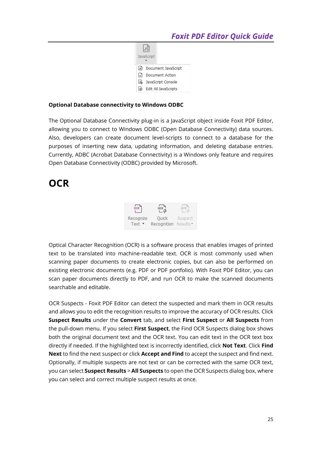

#### **Optional Database connectivity to Windows ODBC**

The Optional Database Connectivity plug-in is a JavaScript object inside Foxit PDF Editor, allowing you to connect to Windows ODBC (Open Database Connectivity) data sources. Also, developers can create document level-scripts to connect to a database for the purposes of inserting new data, updating information, and deleting database entries. Currently, ADBC (Acrobat Database Connectivity) is a Windows only feature and requires Open Database Connectivity (ODBC) provided by Microsoft.

## **OCR**



Optical Character Recognition (OCR) is a software process that enables images of printed text to be translated into machine-readable text. OCR is most commonly used when scanning paper documents to create electronic copies, but can also be performed on existing electronic documents (e.g. PDF or PDF portfolio). With Foxit PDF Editor, you can scan paper documents directly to PDF, and run OCR to make the scanned documents searchable and editable.

OCR Suspects - Foxit PDF Editor can detect the suspected and mark them in OCR results and allows you to edit the recognition results to improve the accuracy of OCR results. Click **Suspect Results** under the **Convert** tab, and select **First Suspect** or **All Suspects** from the pull-down menu. If you select **First Suspect**, the Find OCR Suspects dialog box shows both the original document text and the OCR text. You can edit text in the OCR text box directly if needed. If the highlighted text is incorrectly identified, click **Not Text**. Click **Find Next** to find the next suspect or click **Accept and Find** to accept the suspect and find next. Optionally, if multiple suspects are not text or can be corrected with the same OCR text, you can select **Suspect Results** > **All Suspects** to open the OCR Suspects dialog box, where you can select and correct multiple suspect results at once.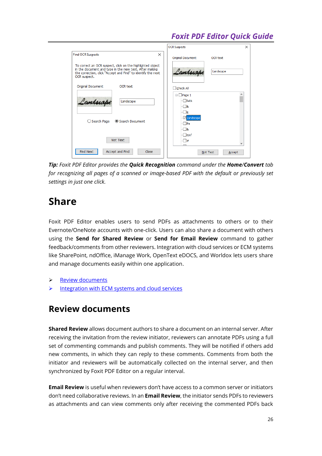|                                                                                                                                                                                                      | <b>OCR Suspects</b>                             | $\times$ |
|------------------------------------------------------------------------------------------------------------------------------------------------------------------------------------------------------|-------------------------------------------------|----------|
| <b>Find OCR Suspects</b><br>$\times$                                                                                                                                                                 | <b>Original Document</b><br><b>OCR text</b>     |          |
| To correct an OCR suspect, click on the highlighted object<br>in the document and type in the new text. After making<br>the correction, click "Accept and Find" to identify the next<br>OCR suspect. | Landscape<br>Landscape                          |          |
| <b>OCR text</b><br>Original Document                                                                                                                                                                 | □ Check All                                     |          |
| Landscape<br>Landscape                                                                                                                                                                               | $\Box$ Page 1<br>- Faitk<br>$\sqsupset$ &<br>ПE |          |
| $\bigcirc$ Search Page<br>Search Document                                                                                                                                                            | <b>Z</b> Landscape<br>$\neg$ Pa<br>$\Box$       |          |
| Not Text                                                                                                                                                                                             | $\Box$ itinf<br>Π#                              |          |
| <b>Find Next</b><br>Accept and Find<br>Close                                                                                                                                                         | Not Text<br>Accept                              |          |

*Tip: Foxit PDF Editor provides the Quick Recognition command under the Home/Convert tab for recognizing all pages of a scanned or image-based PDF with the default or previously set settings in just one click.*

## **Share**

Foxit PDF Editor enables users to send PDFs as attachments to others or to their Evernote/OneNote accounts with one-click. Users can also share a document with others using the **Send for Shared Review** or **Send for Email Review** command to gather feedback/comments from other reviewers. Integration with cloud services or ECM systems like SharePoint, ndOffice, iManage Work, OpenText eDOCS, and Worldox lets users share and manage documents easily within one application.

- ➢ [Review documents](#page-25-0)
- <span id="page-25-0"></span> $\triangleright$  [Integration with ECM systems and cloud services](#page-26-0)

### **Review documents**

**Shared Review** allows document authors to share a document on an internal server. After receiving the invitation from the review initiator, reviewers can annotate PDFs using a full set of commenting commands and publish comments. They will be notified if others add new comments, in which they can reply to these comments. Comments from both the initiator and reviewers will be automatically collected on the internal server, and then synchronized by Foxit PDF Editor on a regular interval.

**Email Review** is useful when reviewers don't have access to a common server or initiators don't need collaborative reviews. In an **Email Review**, the initiator sends PDFs to reviewers as attachments and can view comments only after receiving the commented PDFs back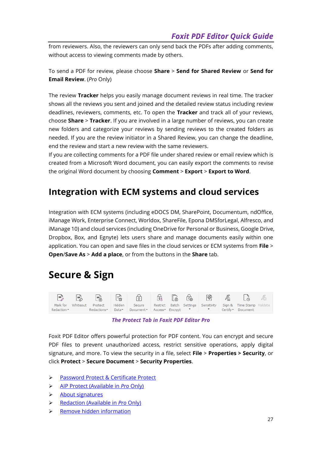from reviewers. Also, the reviewers can only send back the PDFs after adding comments, without access to viewing comments made by others.

To send a PDF for review, please choose **Share** > **Send for Shared Review** or **Send for Email Review**. (*Pro* Only)

The review **Tracker** helps you easily manage document reviews in real time. The tracker shows all the reviews you sent and joined and the detailed review status including review deadlines, reviewers, comments, etc. To open the **Tracker** and track all of your reviews, choose **Share** > **Tracker**. If you are involved in a large number of reviews, you can create new folders and categorize your reviews by sending reviews to the created folders as needed. If you are the review initiator in a Shared Review, you can change the deadline, end the review and start a new review with the same reviewers.

If you are collecting comments for a PDF file under shared review or email review which is created from a Microsoft Word document, you can easily export the comments to revise the original Word document by choosing **Comment** > **Export** > **Export to Word**.

## <span id="page-26-0"></span>**Integration with ECM systems and cloud services**

Integration with ECM systems (including eDOCS DM, SharePoint, Documentum, ndOffice, iManage Work, Enterprise Connect, Worldox, ShareFile, Epona DMSforLegal, Alfresco, and iManage 10) and cloud services (including OneDrive for Personal or Business, Google Drive, Dropbox, Box, and Egnyte) lets users share and manage documents easily within one application. You can open and save files in the cloud services or ECM systems from **File** > **Open**/**Save As** > **Add a place**, or from the buttons in the **Share** tab.

## **Secure & Sign**



*The Protect Tab in Foxit PDF Editor Pro*

Foxit PDF Editor offers powerful protection for PDF content. You can encrypt and secure PDF files to prevent unauthorized access, restrict sensitive operations, apply digital signature, and more. To view the security in a file, select **File** > **Properties > Security**, or click **Protect** > **Secure Document** > **Security Properties**.

- ➢ [Password Protect & Certificate Protect](#page-27-0)
- ➢ AIP Protect [\(Available in](#page-27-1) *Pro* Only)
- ➢ [About signatures](#page-32-0)
- ➢ [Redaction \(Available in](#page-35-0) *Pro* Only)
- ➢ [Remove hidden information](#page-35-1)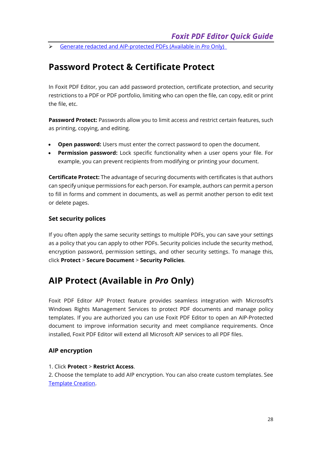<span id="page-27-0"></span>➢ [Generate redacted and AIP-protected PDFs](#page-35-2) (Available in *Pro* Only)

### **Password Protect & Certificate Protect**

In Foxit PDF Editor, you can add password protection, certificate protection, and security restrictions to a PDF or PDF portfolio, limiting who can open the file, can copy, edit or print the file, etc.

**Password Protect:** Passwords allow you to limit access and restrict certain features, such as printing, copying, and editing.

- **Open password:** Users must enter the correct password to open the document.
- **Permission password:** Lock specific functionality when a user opens your file. For example, you can prevent recipients from modifying or printing your document.

**Certificate Protect:** The advantage of securing documents with certificates is that authors can specify unique permissions for each person. For example, authors can permit a person to fill in forms and comment in documents, as well as permit another person to edit text or delete pages.

#### **Set security polices**

If you often apply the same security settings to multiple PDFs, you can save your settings as a policy that you can apply to other PDFs. Security policies include the security method, encryption password, permission settings, and other security settings. To manage this, click **Protect** > **Secure Document** > **Security Policies**.

### <span id="page-27-1"></span>**AIP Protect (Available in** *Pro* **Only)**

Foxit PDF Editor AIP Protect feature provides seamless integration with Microsoft's Windows Rights Management Services to protect PDF documents and manage policy templates. If you are authorized you can use Foxit PDF Editor to open an AIP-Protected document to improve information security and meet compliance requirements. Once installed, Foxit PDF Editor will extend all Microsoft AIP services to all PDF files.

#### **AIP encryption**

#### 1. Click **Protect** > **Restrict Access**.

2. Choose the template to add AIP encryption. You can also create custom templates. See [Template Creation.](#page-29-0)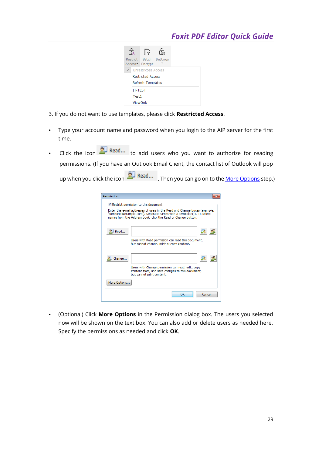

3. If you do not want to use templates, please click **Restricted Access**.

- Type your account name and password when you login to the AIP server for the first time.
- Click the icon **the Read...** to add users who you want to authorize for reading permissions. (If you have an Outlook Email Client, the contact list of Outlook will pop up when you click the icon **2.** Read... Then you can go on to the [More Options](#page-28-0) step.)

| Permission   |                                                                                                                                                                                                                      |
|--------------|----------------------------------------------------------------------------------------------------------------------------------------------------------------------------------------------------------------------|
|              | V Restrict permission to this document                                                                                                                                                                               |
|              | Enter the e-mail addresses of users in the Read and Change boxes (example:<br>'someone@example.com'). Separate names with a semicolon(;). To select<br>names from the Address book, click the Read or Change button. |
| A Read       |                                                                                                                                                                                                                      |
|              | Users with Read permission can read this document,<br>but cannot change, print or copy content.                                                                                                                      |
|              |                                                                                                                                                                                                                      |
| Change       |                                                                                                                                                                                                                      |
|              | Users with Change permission can read, edit, copy<br>content from, and save changes to this document,<br>but cannot print content.                                                                                   |
| More Options |                                                                                                                                                                                                                      |
|              | OK<br>Cancel                                                                                                                                                                                                         |

<span id="page-28-0"></span> (Optional) Click **More Options** in the Permission dialog box. The users you selected now will be shown on the text box. You can also add or delete users as needed here. Specify the permissions as needed and click **OK**.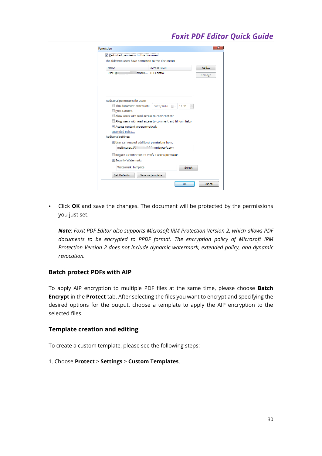| <b>Electronicro Full Control</b><br>user1@.<br>This document expires on:<br>5/25/2016 ■▼<br>11:31<br>Print content<br>Allow users with read access to copy content<br>Allow users with read access to comment and fill form fields<br>Access content programmatically<br>Extended policy<br><b>Additional settings:</b><br>User can request additional permissions from:<br>nmicrosoft.com<br>mailto:user1@i.<br>Require a connection to verify a user's permission |                                   | <b>Access Level</b> | Add    |
|---------------------------------------------------------------------------------------------------------------------------------------------------------------------------------------------------------------------------------------------------------------------------------------------------------------------------------------------------------------------------------------------------------------------------------------------------------------------|-----------------------------------|---------------------|--------|
|                                                                                                                                                                                                                                                                                                                                                                                                                                                                     |                                   |                     | Remove |
|                                                                                                                                                                                                                                                                                                                                                                                                                                                                     | Additional permissions for users: |                     |        |
|                                                                                                                                                                                                                                                                                                                                                                                                                                                                     |                                   |                     |        |
|                                                                                                                                                                                                                                                                                                                                                                                                                                                                     |                                   |                     |        |
|                                                                                                                                                                                                                                                                                                                                                                                                                                                                     |                                   |                     |        |
|                                                                                                                                                                                                                                                                                                                                                                                                                                                                     |                                   |                     |        |
|                                                                                                                                                                                                                                                                                                                                                                                                                                                                     |                                   |                     |        |
|                                                                                                                                                                                                                                                                                                                                                                                                                                                                     |                                   |                     |        |
|                                                                                                                                                                                                                                                                                                                                                                                                                                                                     |                                   |                     |        |
|                                                                                                                                                                                                                                                                                                                                                                                                                                                                     |                                   |                     |        |
|                                                                                                                                                                                                                                                                                                                                                                                                                                                                     |                                   |                     |        |
| Security Watermark:                                                                                                                                                                                                                                                                                                                                                                                                                                                 |                                   |                     |        |
| Watermark Template<br>Select                                                                                                                                                                                                                                                                                                                                                                                                                                        |                                   |                     |        |

 Click **OK** and save the changes. The document will be protected by the permissions you just set.

*Note: Foxit PDF Editor also supports Microsoft IRM Protection Version 2, which allows PDF documents to be encrypted to PPDF format. The encryption policy of Microsoft IRM Protection Version 2 does not include dynamic watermark, extended policy, and dynamic revocation.*

#### **Batch protect PDFs with AIP**

To apply AIP encryption to multiple PDF files at the same time, please choose **Batch Encrypt** in the **Protect** tab. After selecting the files you want to encrypt and specifying the desired options for the output, choose a template to apply the AIP encryption to the selected files.

#### <span id="page-29-0"></span>**Template creation and editing**

To create a custom template, please see the following steps:

#### 1. Choose **Protect** > **Settings** > **Custom Templates**.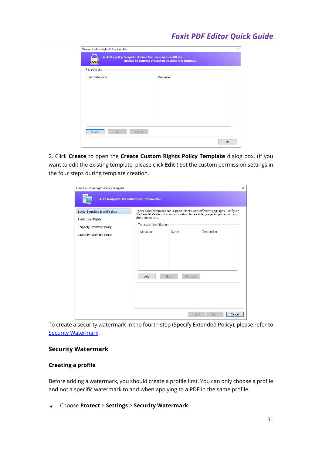| Template List        |             |  |
|----------------------|-------------|--|
| <b>Template Name</b> | Description |  |
|                      |             |  |
|                      |             |  |
|                      |             |  |
|                      |             |  |

2. Click **Create** to open the **Create Custom Rights Policy Template** dialog box. (If you want to edit the existing template, please click **Edit**.) Set the custom permission settings in the four steps during template creation.

| Create Custom Rights Policy Template                                               |                                                                                                                                                                                                                   |      |                  | X      |  |
|------------------------------------------------------------------------------------|-------------------------------------------------------------------------------------------------------------------------------------------------------------------------------------------------------------------|------|------------------|--------|--|
|                                                                                    | <b>Add Template Identification Information</b>                                                                                                                                                                    |      |                  |        |  |
| 1.Add Template Identification<br>2.Add User Rights<br>3. Specify Expiration Policy | Rights policy templates can support clients with different languages. Configure<br>this template's identification information for each language supported on your<br>client computers.<br>Template Identification |      |                  |        |  |
| 4. Specify Extended Policy                                                         | Language                                                                                                                                                                                                          | Name | Description      |        |  |
|                                                                                    | Add                                                                                                                                                                                                               | Edit | Remove           |        |  |
|                                                                                    |                                                                                                                                                                                                                   |      | $<$ Back<br>Next | Cancel |  |

To create a security watermark in the fourth step (Specify Extended Policy), please refer to **[Security Watermark.](#page-30-0)** 

#### <span id="page-30-0"></span>**Security Watermark**

#### **Creating a profile**

Before adding a watermark, you should create a profile first. You can only choose a profile and not a specific watermark to add when applying to a PDF in the same profile.

Choose **Protect** > **Settings** > **Security Watermark**. $\bullet$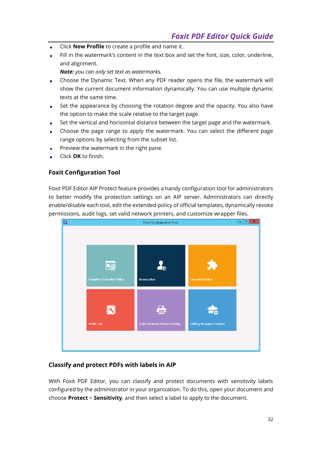- Click **New Profile** to create a profile and name it.
- Fill in the watermark's content in the text box and set the font, size, color, underline, and alignment.

*Note: you can only set text as watermarks.*

- Choose the Dynamic Text. When any PDF reader opens the file, the watermark will show the current document information dynamically. You can use multiple dynamic texts at the same time.
- Set the appearance by choosing the rotation degree and the opacity. You also have the option to make the scale relative to the target page.
- Set the vertical and horizontal distance between the target page and the watermark.
- Choose the page range to apply the watermark. You can select the different page range options by selecting from the subset list.
- Preview the watermark in the right pane.
- Click **OK** to finish.

#### **Foxit Configuration Tool**

Foxit PDF Editor AIP Protect feature provides a handy configuration tool for administrators to better modify the protection settings on an AIP server. Administrators can directly enable/disable each tool, edit the extended policy of official templates, dynamically revoke permissions, audit logs, set valid network printers, and customize wrapper files.



#### **Classify and protect PDFs with labels in AIP**

With Foxit PDF Editor, you can classify and protect documents with sensitivity labels configured by the administrator in your organization. To do this, open your document and choose **Protect** > **Sensitivity**, and then select a label to apply to the document.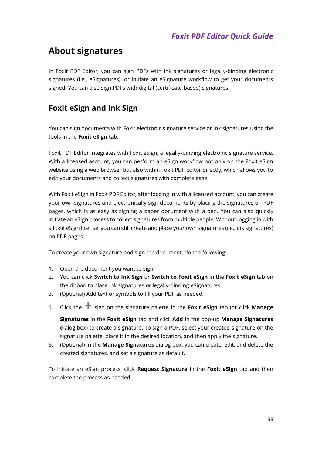## <span id="page-32-0"></span>**About signatures**

In Foxit PDF Editor, you can sign PDFs with ink signatures or legally-binding electronic signatures (i.e., eSignatures), or initiate an eSignature workflow to get your documents signed. You can also sign PDFs with digital (certificate-based) signatures.

#### **Foxit eSign and Ink Sign**

You can sign documents with Foxit electronic signature service or ink signatures using the tools in the **Foxit eSign** tab.

Foxit PDF Editor integrates with Foxit eSign, a legally-binding electronic signature service. With a licensed account, you can perform an eSign workflow not only on the Foxit eSign website using a web browser but also within Foxit PDF Editor directly, which allows you to edit your documents and collect signatures with complete ease.

With Foxit eSign in Foxit PDF Editor, after logging in with a licensed account, you can create your own signatures and electronically sign documents by placing the signatures on PDF pages, which is as easy as signing a paper document with a pen. You can also quickly initiate an eSign process to collect signatures from multiple people. Without logging in with a Foxit eSign license, you can still create and place your own signatures (i.e., ink signatures) on PDF pages.

To create your own signature and sign the document, do the following:

- 1. Open the document you want to sign.
- 2. You can click **Switch to Ink Sign** or **Switch to Foxit eSign** in the **Foxit eSign** tab on the ribbon to place ink signatures or legally-binding eSignatures.
- 3. (Optional) Add text or symbols to fill your PDF as needed.
- 4. Click the  $\textbf{+}$  sign on the signature palette in the Foxit eSign tab (or click Manage

**Signatures** in the **Foxit eSign** tab and click **Add** in the pop-up **Manage Signatures** dialog box) to create a signature. To sign a PDF, select your created signature on the signature palette, place it in the desired location, and then apply the signature.

5. (Optional) In the **Manage Signatures** dialog box, you can create, edit, and delete the created signatures, and set a signature as default.

To initiate an eSign process, click **Request Signature** in the **Foxit eSign** tab and then complete the process as needed.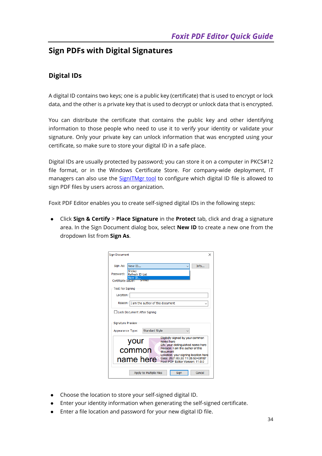#### **Sign PDFs with Digital Signatures**

#### **Digital IDs**

A digital ID contains two keys; one is a public key (certificate) that is used to encrypt or lock data, and the other is a private key that is used to decrypt or unlock data that is encrypted.

You can distribute the certificate that contains the public key and other identifying information to those people who need to use it to verify your identity or validate your signature. Only your private key can unlock information that was encrypted using your certificate, so make sure to store your digital ID in a safe place.

Digital IDs are usually protected by password; you can store it on a computer in PKCS#12 file format, or in the Windows Certificate Store. For company-wide deployment, IT managers can also use the [SignITMgr tool](https://kb.foxitsoftware.com/hc/en-us/articles/360040660451-Allow-IT-manager-to-configure-which-digital-ID-file-are-allowed-to-use) to configure which digital ID file is allowed to sign PDF files by users across an organization.

Foxit PDF Editor enables you to create self-signed digital IDs in the following steps:

⚫ Click **Sign & Certify** > **Place Signature** in the **Protect** tab, click and drag a signature area. In the Sign Document dialog box, select **New ID** to create a new one from the dropdown list from **Sign As**.

| <b>Sign Document</b>                                                                                                                                                                                                                                                                         |                                           | × |  |  |
|----------------------------------------------------------------------------------------------------------------------------------------------------------------------------------------------------------------------------------------------------------------------------------------------|-------------------------------------------|---|--|--|
| Sign As:                                                                                                                                                                                                                                                                                     | Info<br>New ID                            |   |  |  |
| Password:                                                                                                                                                                                                                                                                                    | Shirley<br>Refresh ID List                |   |  |  |
| Certificate Issuer:                                                                                                                                                                                                                                                                          | New ID<br><b>Sniffey</b>                  |   |  |  |
| <b>Text For Signing</b>                                                                                                                                                                                                                                                                      |                                           |   |  |  |
| Location:                                                                                                                                                                                                                                                                                    |                                           |   |  |  |
| Reason: I                                                                                                                                                                                                                                                                                    | I am the author of this document          |   |  |  |
| Lock Document After Signing                                                                                                                                                                                                                                                                  |                                           |   |  |  |
| Signature Preview                                                                                                                                                                                                                                                                            |                                           |   |  |  |
| Appearance Type:                                                                                                                                                                                                                                                                             | <b>Standard Style</b>                     |   |  |  |
| Digitally signed by your common<br>your<br>name here<br>DN: your distinguished name here<br>Reason: I am the author of this<br>common<br>document<br>Location: your signing location here<br>Date: 2021.03.30 11:05:53+08'00'<br>name here <sup>-1</sup><br>Foxit PDF Editor Version: 11.0.0 |                                           |   |  |  |
|                                                                                                                                                                                                                                                                                              | Apply to Multiple Files<br>Cancel<br>Sign |   |  |  |

- ⚫ Choose the location to store your self-signed digital ID.
- ⚫ Enter your identity information when generating the self-signed certificate.
- ⚫ Enter a file location and password for your new digital ID file.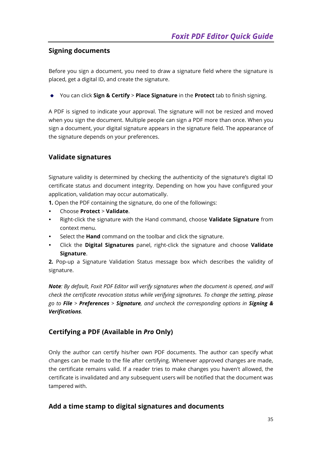#### **Signing documents**

Before you sign a document, you need to draw a signature field where the signature is placed, get a digital ID, and create the signature.

You can click **Sign & Certify** > **Place Signature** in the **Protect** tab to finish signing.

A PDF is signed to indicate your approval. The signature will not be resized and moved when you sign the document. Multiple people can sign a PDF more than once. When you sign a document, your digital signature appears in the signature field. The appearance of the signature depends on your preferences.

#### **Validate signatures**

Signature validity is determined by checking the authenticity of the signature's digital ID certificate status and document integrity. Depending on how you have configured your application, validation may occur automatically.

**1.** Open the PDF containing the signature, do one of the followings:

- Choose **Protect** > **Validate**.
- Right-click the signature with the Hand command, choose **Validate Signature** from context menu.
- Select the **Hand** command on the toolbar and click the signature.
- Click the **Digital Signatures** panel, right-click the signature and choose **Validate Signature**.

**2.** Pop-up a Signature Validation Status message box which describes the validity of signature.

*Note: By default, Foxit PDF Editor will verify signatures when the document is opened, and will check the certificate revocation status while verifying signatures. To change the setting, please go to File > Preferences > Signature, and uncheck the corresponding options in Signing & Verifications.*

#### **Certifying a PDF (Available in** *Pro* **Only)**

Only the author can certify his/her own PDF documents. The author can specify what changes can be made to the file after certifying. Whenever approved changes are made, the certificate remains valid. If a reader tries to make changes you haven't allowed, the certificate is invalidated and any subsequent users will be notified that the document was tampered with.

#### **Add a time stamp to digital signatures and documents**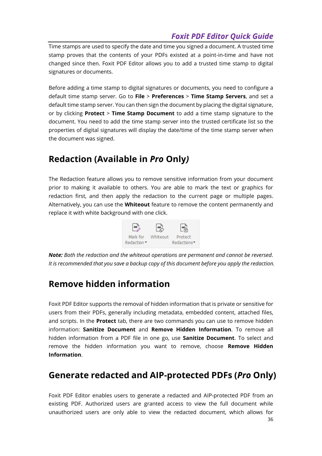Time stamps are used to specify the date and time you signed a document. A trusted time stamp proves that the contents of your PDFs existed at a point-in-time and have not changed since then. Foxit PDF Editor allows you to add a trusted time stamp to digital signatures or documents.

Before adding a time stamp to digital signatures or documents, you need to configure a default time stamp server. Go to **File** > **Preferences** > **Time Stamp Servers**, and set a default time stamp server. You can then sign the document by placing the digital signature, or by clicking **Protect** > **Time Stamp Document** to add a time stamp signature to the document. You need to add the time stamp server into the trusted certificate list so the properties of digital signatures will display the date/time of the time stamp server when the document was signed.

### <span id="page-35-0"></span>**Redaction (Available in** *Pro* **Only***)*

The Redaction feature allows you to remove sensitive information from your document prior to making it available to others. You are able to mark the text or graphics for redaction first, and then apply the redaction to the current page or multiple pages. Alternatively, you can use the **Whiteout** feature to remove the content permanently and replace it with white background with one click.



*Note: Both the redaction and the whiteout operations are permanent and cannot be reversed. It is recommended that you save a backup copy of this document before you apply the redaction.*

## <span id="page-35-1"></span>**Remove hidden information**

Foxit PDF Editor supports the removal of hidden information that is private or sensitive for users from their PDFs, generally including metadata, embedded content, attached files, and scripts. In the **Protect** tab, there are two commands you can use to remove hidden information: **Sanitize Document** and **Remove Hidden Information**. To remove all hidden information from a PDF file in one go, use **Sanitize Document**. To select and remove the hidden information you want to remove, choose **Remove Hidden Information**.

## <span id="page-35-2"></span>**Generate redacted and AIP-protected PDFs (***Pro* **Only)**

36 Foxit PDF Editor enables users to generate a redacted and AIP-protected PDF from an existing PDF. Authorized users are granted access to view the full document while unauthorized users are only able to view the redacted document, which allows for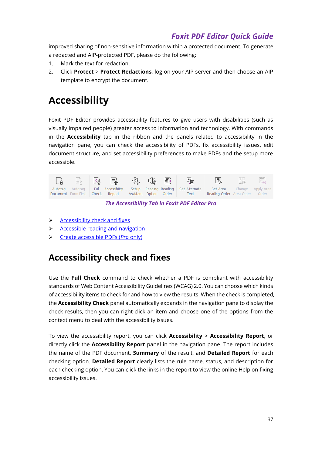improved sharing of non-sensitive information within a protected document. To generate a redacted and AIP-protected PDF, please do the following:

- 1. Mark the text for redaction.
- 2. Click **Protect** > **Protect Redactions**, log on your AIP server and then choose an AIP template to encrypt the document.

## **Accessibility**

Foxit PDF Editor provides accessibility features to give users with disabilities (such as visually impaired people) greater access to information and technology. With commands in the **Accessibility** tab in the ribbon and the panels related to accessibility in the navigation pane, you can check the accessibility of PDFs, fix accessibility issues, edit document structure, and set accessibility preferences to make PDFs and the setup more accessible.



*The Accessibility Tab in Foxit PDF Editor Pro*

- $\triangleright$  [Accessibility check and fixes](#page-36-0)
- ➢ [Accessible reading and navigation](#page-37-0)
- <span id="page-36-0"></span>➢ [Create accessible PDFs \(](#page-37-1)*Pro* only)

## **Accessibility check and fixes**

Use the **Full Check** command to check whether a PDF is compliant with accessibility standards of Web Content Accessibility Guidelines (WCAG) 2.0. You can choose which kinds of accessibility items to check for and how to view the results. When the check is completed, the **Accessibility Check** panel automatically expands in the navigation pane to display the check results, then you can right-click an item and choose one of the options from the context menu to deal with the accessibility issues.

To view the accessibility report, you can click **Accessibility** > **Accessibility Report**, or directly click the **Accessibility Report** panel in the navigation pane. The report includes the name of the PDF document, **Summary** of the result, and **Detailed Report** for each checking option. **Detailed Report** clearly lists the rule name, status, and description for each checking option. You can click the links in the report to view the online Help on fixing accessibility issues.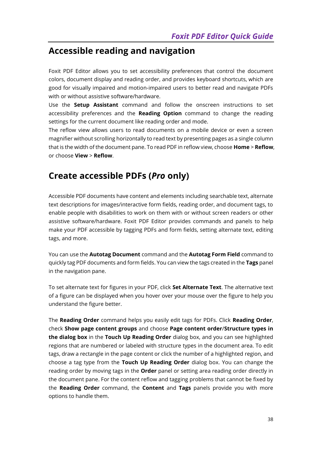### <span id="page-37-0"></span>**Accessible reading and navigation**

Foxit PDF Editor allows you to set accessibility preferences that control the document colors, document display and reading order, and provides keyboard shortcuts, which are good for visually impaired and motion-impaired users to better read and navigate PDFs with or without assistive software/hardware.

Use the **Setup Assistant** command and follow the onscreen instructions to set accessibility preferences and the **Reading Option** command to change the reading settings for the current document like reading order and mode.

The reflow view allows users to read documents on a mobile device or even a screen magnifier without scrolling horizontally to read text by presenting pages as a single column that is the width of the document pane. To read PDF in reflow view, choose **Home** > **Reflow**, or choose **View** > **Reflow**.

### <span id="page-37-1"></span>**Create accessible PDFs (***Pro* **only)**

Accessible PDF documents have content and elements including searchable text, alternate text descriptions for images/interactive form fields, reading order, and document tags, to enable people with disabilities to work on them with or without screen readers or other assistive software/hardware. Foxit PDF Editor provides commands and panels to help make your PDF accessible by tagging PDFs and form fields, setting alternate text, editing tags, and more.

You can use the **Autotag Document** command and the **Autotag Form Field** command to quickly tag PDF documents and form fields. You can view the tags created in the **Tags** panel in the navigation pane.

To set alternate text for figures in your PDF, click **Set Alternate Text**. The alternative text of a figure can be displayed when you hover over your mouse over the figure to help you understand the figure better.

The **Reading Order** command helps you easily edit tags for PDFs. Click **Reading Order**, check **Show page content groups** and choose **Page content order**/**Structure types in the dialog box** in the **Touch Up Reading Order** dialog box, and you can see highlighted regions that are numbered or labeled with structure types in the document area. To edit tags, draw a rectangle in the page content or click the number of a highlighted region, and choose a tag type from the **Touch Up Reading Order** dialog box. You can change the reading order by moving tags in the **Order** panel or setting area reading order directly in the document pane. For the content reflow and tagging problems that cannot be fixed by the **Reading Order** command, the **Content** and **Tags** panels provide you with more options to handle them.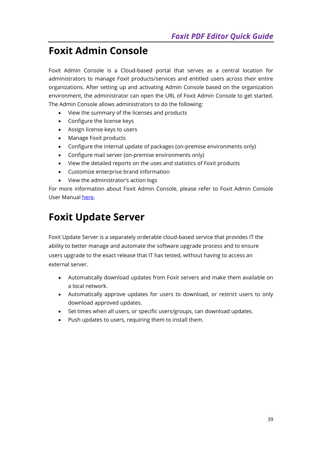## <span id="page-38-0"></span>**Foxit Admin Console**

Foxit Admin Console is a Cloud-based portal that serves as a central location for administrators to manage Foxit products/services and entitled users across their entire organizations. After setting up and activating Admin Console based on the organization environment, the administrator can open the URL of Foxit Admin Console to get started. The Admin Console allows administrators to do the following:

- View the summary of the licenses and products
- Configure the license keys
- Assign license keys to users
- Manage Foxit products
- Configure the internal update of packages (on-premise environments only)
- Configure mail server (on-premise environments only)
- View the detailed reports on the uses and statistics of Foxit products
- Customize enterprise brand information
- View the administrator's action logs

For more information about Foxit Admin Console, please refer to Foxit Admin Console User Manual [here.](https://www.foxit.com/support/usermanuals.html)

## **Foxit Update Server**

Foxit Update Server is a separately orderable cloud-based service that provides IT the ability to better manage and automate the software upgrade process and to ensure users upgrade to the exact release that IT has tested, without having to access an external server.

- Automatically download updates from Foxit servers and make them available on a local network.
- Automatically approve updates for users to download, or restrict users to only download approved updates.
- Set times when all users, or specific users/groups, can download updates.
- Push updates to users, requiring them to install them.